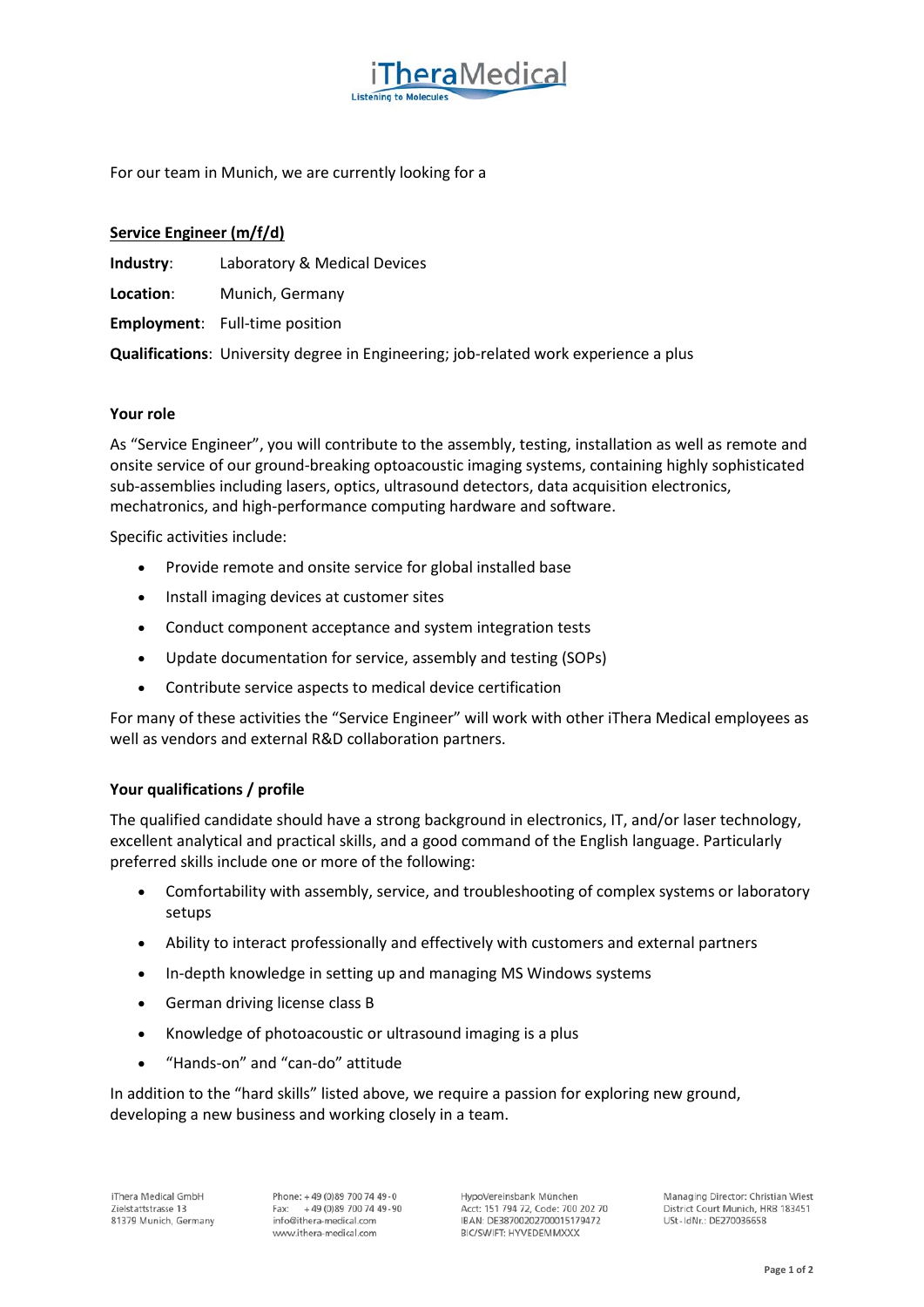For our team in Munich, we are currently looking for a

# **Service Engineer (m/f/d)**

**Industry**: Laboratory & Medical Devices

**Location**: Munich, Germany

**Employment**: Full-time position

**Qualifications**: University degree in Engineering; job-related work experience a plus

### **Your role**

As "Service Engineer", you will contribute to the assembly, testing, installation as well as remote and onsite service of our ground-breaking optoacoustic imaging systems, containing highly sophisticated sub-assemblies including lasers, optics, ultrasound detectors, data acquisition electronics, mechatronics, and high-performance computing hardware and software.

**hera** Medical

Specific activities include:

- Provide remote and onsite service for global installed base
- Install imaging devices at customer sites
- Conduct component acceptance and system integration tests
- Update documentation for service, assembly and testing (SOPs)
- Contribute service aspects to medical device certification

For many of these activities the "Service Engineer" will work with other iThera Medical employees as well as vendors and external R&D collaboration partners.

### **Your qualifications / profile**

The qualified candidate should have a strong background in electronics, IT, and/or laser technology, excellent analytical and practical skills, and a good command of the English language. Particularly preferred skills include one or more of the following:

- Comfortability with assembly, service, and troubleshooting of complex systems or laboratory setups
- Ability to interact professionally and effectively with customers and external partners
- In-depth knowledge in setting up and managing MS Windows systems
- German driving license class B
- Knowledge of photoacoustic or ultrasound imaging is a plus
- "Hands-on" and "can-do" attitude

In addition to the "hard skills" listed above, we require a passion for exploring new ground, developing a new business and working closely in a team.

Phone: +49 (0)89 700 74 49-0 +49 (0) 89 700 74 49 - 90 Fax: info@ithera-medical.com www.ithera-medical.com

HypoVereinsbank München Acct: 151 794 72, Code: 700 202 70 IBAN: DE38700202700015179472 BIC/SWIFT: HYVEDEMMXXX

Managing Director: Christian Wiest District Court Munich, HRB 183451 USt-IdNr.: DE270036658